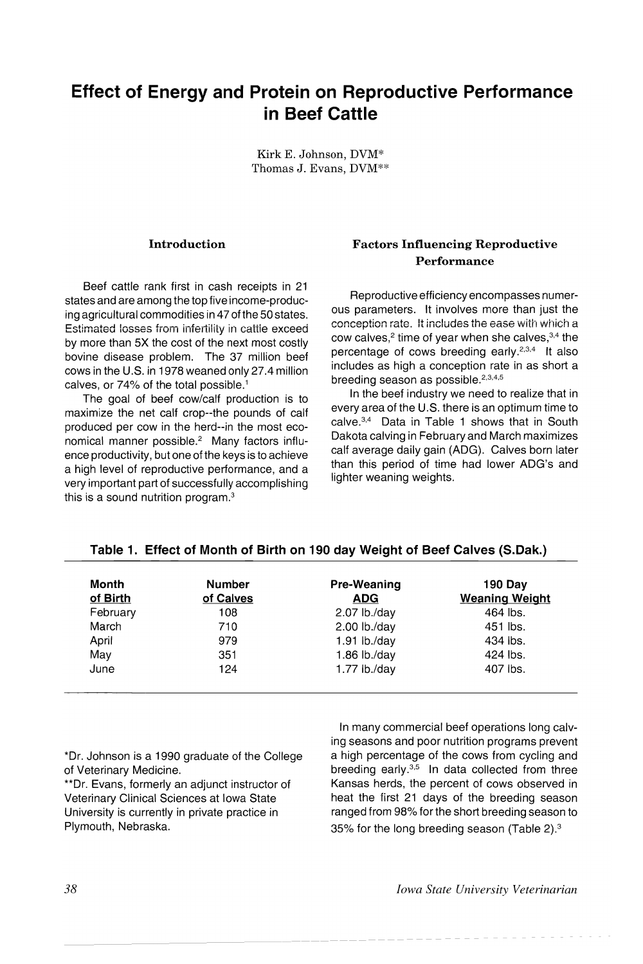# Effect of Energy and Protein on Reproductive Performance in Beef Cattle

Kirk E. Johnson, DVM\* Thomas J. Evans, DVM\*\*

### Introduction

Beef cattle rank first in cash receipts in 21 states and are among the top five income-producing agricultural commodities in 47 of the 50 states. Estimated losses fiom infertility in cattie exceed by more than 5X the cost of the next most costly bovine disease problem. The 37 million beef cows in the U.S. in 1978 weaned only 27.4 million calves, or  $74\%$  of the total possible.<sup>1</sup>

The goal of beef cow/calf production is to maximize the net calf crop--the pounds of calf produced per cow in the herd--in the most economical manner possible.<sup>2</sup> Many factors influence productivity, but one of the keys is to achieve a high level of reproductive performance, and a very important part of successfully accornplishing this is a sound nutrition program.<sup>3</sup>

# Factors Influencing Reproductive Performance

Reproductive efficiency encompasses numerous parameters. It involves more than just the conception rate. It includes the ease with which a cow calves, $2$  time of year when she calves,  $3,4$  the percentage of cows breeding early.2,3,4 It also includes as high a conception rate in as short a breeding season as possible.<sup>2,3,4,5</sup>

In the beef industry we need to realize that in every area of the U.S. there is an optimum time to calve.3,4 Data in Table 1 shows that in South Dakota calving in February and March maximizes calf average daily gain (ADG). Calves born later than this period of time had lower ADG's and lighter weaning weights.

| Month<br>of Birth | <b>Number</b><br>of Calves | Pre-Weaning<br><b>ADG</b> | <b>190 Day</b><br><b>Weaning Weight</b> |
|-------------------|----------------------------|---------------------------|-----------------------------------------|
| February          | 108                        | $2.07$ lb./day            | 464 lbs.                                |
| March             | 710                        | $2.00$ lb./day            | 451 lbs.                                |
| April             | 979                        | $1.91$ lb./day            | 434 lbs.                                |
| May               | 351                        | 1.86 $\frac{1}{3}$ b./day | 424 lbs.                                |
| June              | 124                        | 1.77 $lb$ ./day           | 407 lbs.                                |

#### Table 1. Effect of Month of Birth on 190 day Weight of Beef Calves (S.Dak.)

\*Dr. Johnson is a 1990 graduate of the College of Veterinary Medicine.

\*\*Dr. Evans, formerly an adjunct instructor of Veterinary Clinical Sciences at Iowa State University is currently in private practice in Plymouth, Nebraska.

In many commercial beef operations long calving seasons and poor nutrition programs prevent a high percentage of the cows from cycling and breeding early.3.5 In data collected from three Kansas herds, the percent of cows observed in heat the first 21 days of the breeding season ranged from 98% for the short breeding season to 35% for the long breeding season (Table 2).3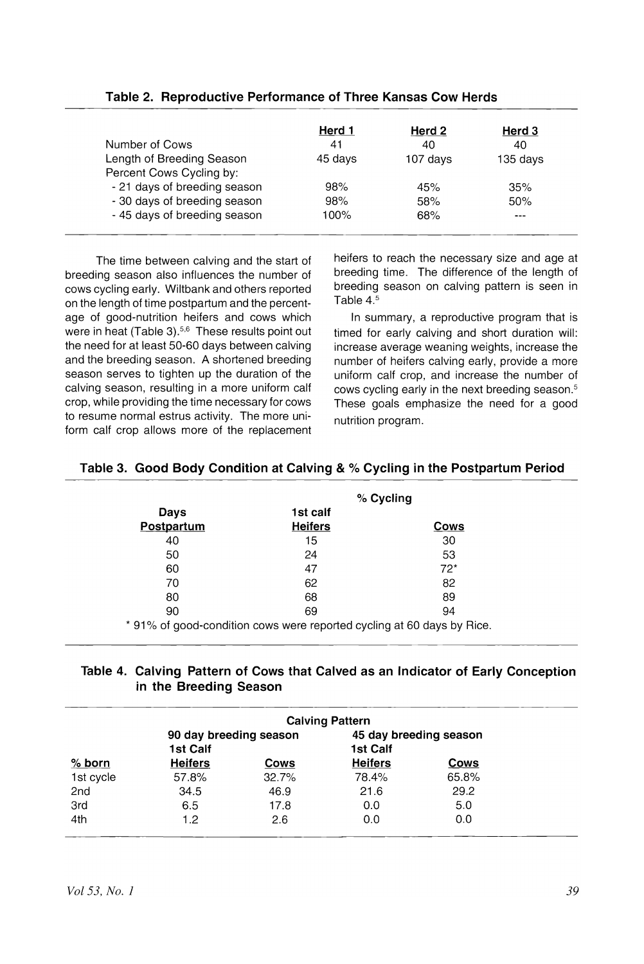|                              | Herd 1  | Herd 2   | Herd 3   |
|------------------------------|---------|----------|----------|
| Number of Cows               | 41      | 40       | 40       |
| Length of Breeding Season    | 45 days | 107 days | 135 days |
| Percent Cows Cycling by:     |         |          |          |
| - 21 days of breeding season | 98%     | 45%      | 35%      |
| - 30 days of breeding season | 98%     | 58%      | 50%      |
| - 45 days of breeding season | 100%    | 68%      |          |

## **Table 2. Reproductive Performance of Three Kansas Cow Herds**

The time between calving and the start of breeding season also influences the number of cows cycling early. Wiltbank and others reported on the length of time postpartum and the percentage of good-nutrition heifers and cows which were in heat (Table 3).<sup>5,6</sup> These results point out the need for at least 50-60 days between calving and the breeding season. A shortened breeding season serves to tighten up the duration of the calving season, resulting in a more uniform calf crop, while providing the time necessary for cows to resume normal estrus activity. The more uniform calf crop allows more of the replacement heifers to reach the necessary size and age at breeding time. The difference of the length of breeding season on calving pattern is seen in Table 4.5

In summary, a reproductive program that is timed for early calving and short duration will: increase average weaning weights, increase the number of heifers calving early, provide a more uniform calf crop, and increase the number of cows cycling early in the next breeding season. <sup>5</sup> These goals emphasize the need for a good nutrition program.

|                                                                        |                | % Cycling |
|------------------------------------------------------------------------|----------------|-----------|
| Days                                                                   | 1st calf       |           |
| Postpartum                                                             | <b>Heifers</b> | Cows      |
| 40                                                                     | 15             | 30        |
| 50                                                                     | 24             | 53        |
| 60                                                                     | 47             | $72*$     |
| 70                                                                     | 62             | 82        |
| 80                                                                     | 68             | 89        |
| 90                                                                     | 69             | 94        |
| * 91% of good-condition cows were reported cycling at 60 days by Rice. |                |           |

## **Table 3. Good Body Condition at Calving &** % **Cycling in the Postpartum Period**

## **Table 4. Calving Pattern of Cows that Calved as an Indicator of Early Conception in the Breeding Season**

| <b>Calving Pattern</b>                                                   |                |       |                |       |  |
|--------------------------------------------------------------------------|----------------|-------|----------------|-------|--|
| 45 day breeding season<br>90 day breeding season<br>1st Calf<br>1st Calf |                |       |                |       |  |
| $%$ born                                                                 | <b>Heifers</b> | Cows  | <b>Heifers</b> | Cows  |  |
| 1st cycle                                                                | 57.8%          | 32.7% | 78.4%          | 65.8% |  |
| 2nd                                                                      | 34.5           | 46.9  | 21.6           | 29.2  |  |
| 3rd                                                                      | 6.5            | 17.8  | 0.0            | 5.0   |  |
| 4th                                                                      | 1.2            | 2.6   | 0.0            | 0.0   |  |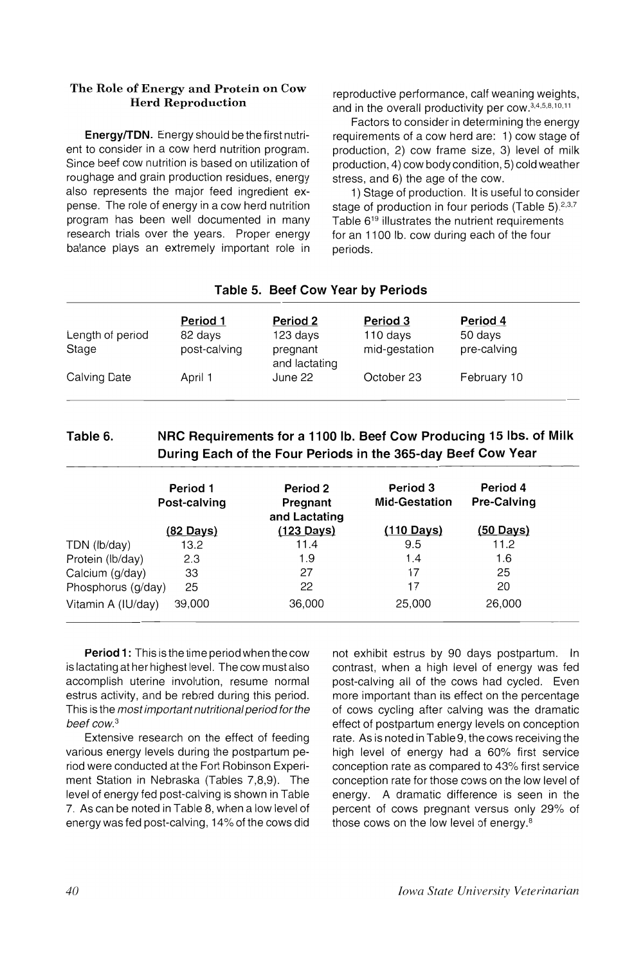### The Role of Energy and Protein on Cow Herd Reproduction

EnergylTDN. Energy should be the first nutrient to consider in a cow herd nutrition program. Since beef cow nutrition is based on utilization of roughage and grain production residues, energy also represents the major feed ingredient expense. The role of energy in a cow herd nutrition program has been well documented in many research trials over the years. Proper energy balance plays an extremely important role in

reproductive performance, calf weaning weights, and in the overall productivity per cOW. 3,4,5,8,10,11

Factors to consider in determining the energy requirements of a cow herd are: 1) cow stage of production, 2) cow frame size, 3) level of milk production, 4) cow body condition, 5) cold weather stress, and 6) the age of the cow.

1) Stage of production. It is useful to consider stage of production in four periods (Table  $5$ ).<sup>2,3,7</sup> Table 6<sup>19</sup> illustrates the nutrient requirements for an 1100 lb. cow during each of the four periods.

| Length of period | Period 1<br>82 days | Period 2<br>123 days      | Period 3<br>110 days | Period 4<br>50 days |  |  |
|------------------|---------------------|---------------------------|----------------------|---------------------|--|--|
| Stage            | post-calving        | pregnant<br>and lactating | mid-gestation        | pre-calving         |  |  |
| Calving Date     | April 1             | June 22                   | October 23           | February 10         |  |  |

# Table 5. Beef Cow Year by Periods

# Table 6. NRC Requirements for a 1100 lb. Beef Cow Producing 15 Ibs. of Milk During Each of the Four Periods in the 365-day Beef Cow Year

|                    | Period 1<br>Post-calving | Period 2<br>Pregnant<br>and Lactating | Period 3<br><b>Mid-Gestation</b> | Period 4<br><b>Pre-Calving</b> |
|--------------------|--------------------------|---------------------------------------|----------------------------------|--------------------------------|
|                    | <u>(82 Days)</u>         | $(123 \text{ Days})$                  | $(110 \text{ Days})$             | $(50 \text{ Days})$            |
| TDN (lb/day)       | 13.2                     | 11.4                                  | 9.5                              | 11.2                           |
| Protein (lb/day)   | 2.3                      | 1.9                                   | 1.4                              | 1.6                            |
| Calcium (g/day)    | 33                       | 27                                    | 17                               | 25                             |
| Phosphorus (g/day) | 25                       | 22                                    | 17                               | 20                             |
| Vitamin A (IU/day) | 39,000                   | 36,000                                | 25,000                           | 26,000                         |

Period 1: This is the time period when the cow is lactating at her highest level. The cow must also accomplish uterine involution, resume normal estrus activity, and be rebred during this period. This is the most important nutritional period for the beef cow. *<sup>3</sup>*

Extensive research on the effect of feeding various energy levels during the postpartum period were conducted at the Fort Robinson Experiment Station in Nebraska (Tables 7,8,9). The level of energy fed post-calving is shown in Table 7. As can be noted in Table 8, when a low level of energy was fed post-calving, 14% of the cows did not exhibit estrus by 90 days postpartum. In contrast, when a high level of energy was fed post-calving all of the cows had cycled. Even more important than its effect on the percentage of cows cycling after calving was the dramatic effect of postpartum energy levels on conception rate. As is noted in Table 9, the cows receiving the bigh level of energy had a 60% first service conception rate as compared to 43% first service conception rate for those cows on the low level of energy. A dramatic difference is seen in the percent of cows pregnant versus only 29% of those cows on the low level of energy.<sup>8</sup>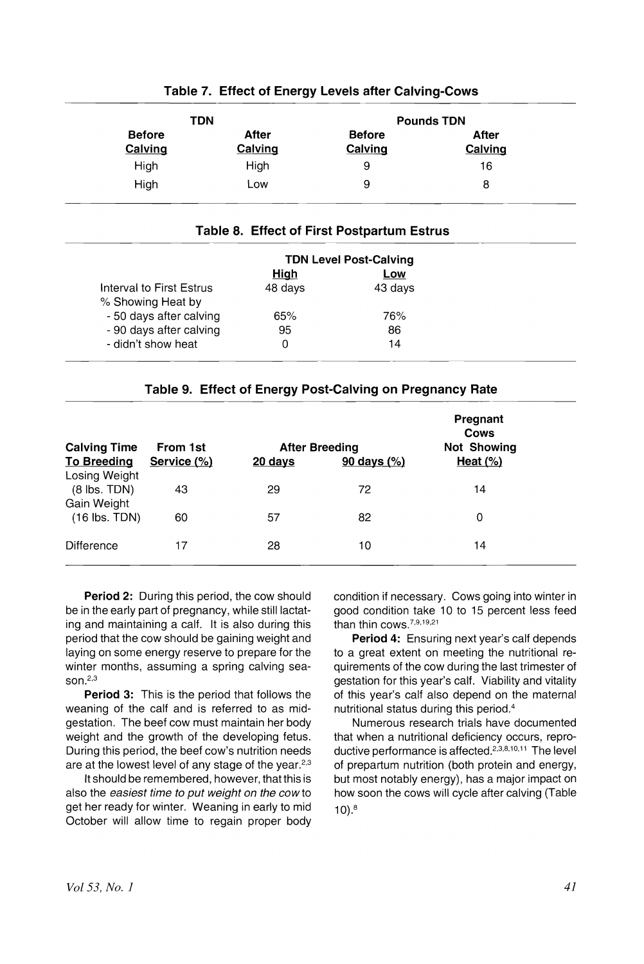| TDN                      |                  |                          | <b>Pounds TDN</b> |
|--------------------------|------------------|--------------------------|-------------------|
| <b>Before</b><br>Calving | After<br>Calving | <b>Before</b><br>Calving | After<br>Calving  |
| High                     | High             | 9                        | 16                |
| High                     | Low              | 9                        | 8                 |

## Table 7. Effect of Energy Levels after Calving-Cows

### Table 8. Effect of First Postpartum Estrus

|                          | <b>TDN Level Post-Calving</b> |         |
|--------------------------|-------------------------------|---------|
|                          | High                          | Low     |
| Interval to First Estrus | 48 days                       | 43 days |
| % Showing Heat by        |                               |         |
| - 50 days after calving  | 65%                           | 76%     |
| - 90 days after calving  | 95                            | 86      |
| - didn't show heat       |                               | 14      |

## Table 9. Effect of Energy Post-Calving on Pregnancy Rate

| <b>Calving Time</b>                               | From 1st    |                   | <b>After Breeding</b>  | Pregnant<br>Cows<br><b>Not Showing</b> |  |
|---------------------------------------------------|-------------|-------------------|------------------------|----------------------------------------|--|
| <b>To Breeding</b>                                | Service (%) | $20 \text{ days}$ | $90 \text{ days } (%)$ | Heat $(\%)$                            |  |
| Losing Weight<br>$(8$ lbs. TDN $)$<br>Gain Weight | 43          | 29                | 72                     | 14                                     |  |
| $(16$ lbs. TDN)                                   | 60          | 57                | 82                     | 0                                      |  |
| Difference                                        | 17          | 28                | 10                     | 14                                     |  |

Period 2: During this period, the cow should be in the early part of pregnancy, while still lactating and maintaining a calf. It is also during this period that the cow should be gaining weight and laying on some energy reserve to prepare for the winter months, assuming a spring calving season. $2,3$ 

Period 3: This is the period that follows the weaning of the calf and is referred to as midgestation. The beef cow must maintain her body weight and the growth of the developing fetus. During this period, the beef cow's nutrition needs are at the lowest level of any stage of the year.<sup>2,3</sup>

It should be remembered, however, that this is also the easiest time to put weight on the cowto get her ready for winter. Weaning in early to mid October will allow time to regain proper body

condition if necessary. Cows going into winter in good condition take 10 to 15 percent less feed than thin COWS,?,9,19,21

Period 4: Ensuring next year's calf depends to a great extent on meeting the nutritional requirements of the cow during the last trimester of gestation for this year's calf. Viability and vitality of this year's calf also depend on the maternal nutritional status during this period. <sup>4</sup>

Numerous research trials have documented that when a nutritional deficiency occurs, reproductive performance is affected.2,3,8,1o,11 The level of prepartum nutrition (both protein and energy, but most notably energy), has a major impact on how soon the cows will cycle after calving (Table  $10)$ . $8$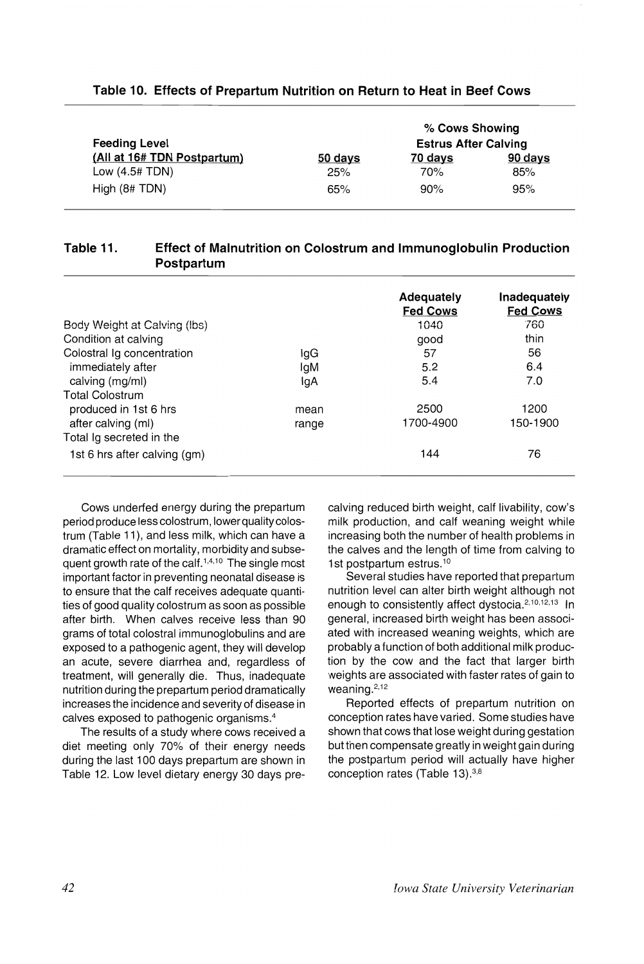| <b>Feeding Level</b>        | % Cows Showing<br><b>Estrus After Calving</b> |         |         |  |
|-----------------------------|-----------------------------------------------|---------|---------|--|
| (All at 16# TDN Postpartum) | 50 days                                       | 70 days | 90 days |  |
| Low $(4.5# TDN)$            | 25%                                           | 70%     | 85%     |  |
| High $(8# TDN)$             | 65%                                           | 90%     | 95%     |  |

#### Table 10. Effects of Prepartum Nutrition on Return to Heat in Beef Cows

# Table 11. Effect of Malnutrition on Colostrum and Immunoglobulin Production Postpartum

|                              |       | Adequately      | Inadequately    |
|------------------------------|-------|-----------------|-----------------|
|                              |       | <b>Fed Cows</b> | <b>Fed Cows</b> |
| Body Weight at Calving (lbs) |       | 1040            | 760             |
| Condition at calving         |       | good            | thin            |
| Colostral Ig concentration   | IgG   | 57              | 56              |
| immediately after            | lgM   | 5.2             | 6.4             |
| calving (mg/ml)              | IgA   | 5.4             | 7.0             |
| <b>Total Colostrum</b>       |       |                 |                 |
| produced in 1st 6 hrs        | mean  | 2500            | 1200            |
| after calving (ml)           | range | 1700-4900       | 150-1900        |
| Total Ig secreted in the     |       |                 |                 |
| 1st 6 hrs after calving (gm) |       | 144             | 76              |

Cows underfed energy during the prepartum period produce less colostrum, lower quality colostrum (Table 11), and less milk, which can have a dramatic effect on mortality, morbidity and subsequent growth rate of the calf.<sup>1,4,10</sup> The single most important factor in preventing neonatal disease is to ensure that the calf receives adequate quantities of good quality colostrum as soon as possible after birth. When calves receive less than 90 grams of total colostral immunoglobulins and are exposed to a pathogenic agent, they will develop an acute, severe diarrhea and, regardless of treatment, will generally die. Thus, inadequate nutrition during the prepartum period dramatically increases the incidence and severity of disease in calves exposed to pathogenic organisms. <sup>4</sup>

The results of a study where cows received a diet meeting only 70% of their energy needs during the last 100 days prepartum are shown in Table 12. Low level dietary energy 30 days pre-

calving reduced birth weight, calf livability, cow's milk production, and calf weaning weight while increasing both the number of health problems in the calves and the length of time from calving to 1st postpartum estrus.<sup>10</sup>

Several studies have reported that prepartum nutrition level can alter birth weight although not enough to consistently affect dystocia.<sup>2,10,12,13</sup> In general, increased birth weight has been associated with increased weaning weights, which are probably a function of both additional milk production by the cow and the fact that larger birth weights are associated with faster rates of gain to weaning.<sup>2,12</sup>

Reported effects of prepartum nutrition on conception rates have varied. Some studies have shown that cows that lose weight during gestation but then compensate greatly in weight gain during the postpartum period will actually have higher conception rates (Table 13).<sup>3,8</sup>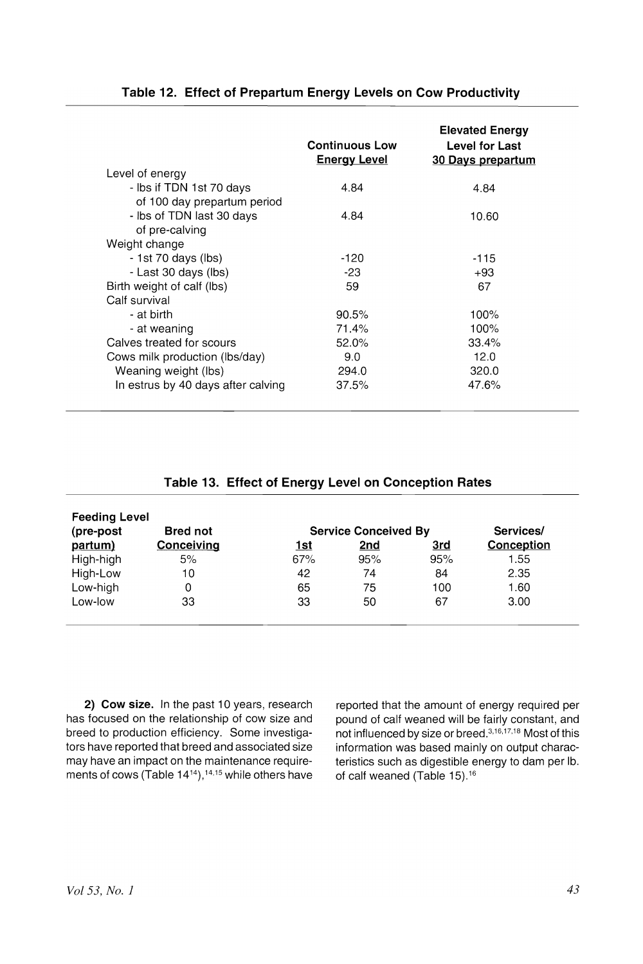|                                    | <b>Continuous Low</b><br><b>Energy Level</b> | <b>Elevated Energy</b><br>Level for Last<br>30 Days prepartum |
|------------------------------------|----------------------------------------------|---------------------------------------------------------------|
| Level of energy                    |                                              |                                                               |
| - Ibs if TDN 1st 70 days           | 4.84                                         | 4.84                                                          |
| of 100 day prepartum period        |                                              |                                                               |
| - Ibs of TDN last 30 days          | 4.84                                         | 10.60                                                         |
| of pre-calving                     |                                              |                                                               |
| Weight change                      |                                              |                                                               |
| - 1st 70 days (lbs)                | $-120$                                       | -115                                                          |
| - Last 30 days (lbs)               | $-23$                                        | $+93$                                                         |
| Birth weight of calf (lbs)         | 59                                           | 67                                                            |
| Calf survival                      |                                              |                                                               |
| - at birth                         | 90.5%                                        | 100%                                                          |
| - at weaning                       | 71.4%                                        | 100%                                                          |
| Calves treated for scours          | 52.0%                                        | 33.4%                                                         |
| Cows milk production (lbs/day)     | 9.0                                          | 12.0                                                          |
| Weaning weight (lbs)               | 294.0                                        | 320.0                                                         |
| In estrus by 40 days after calving | 37.5%                                        | 47.6%                                                         |
|                                    |                                              |                                                               |

# Table 12. Effect of Prepartum Energy Levels on Cow Productivity

# Table 13. Effect of Energy Level on Conception Rates

| <b>Feeding Level</b> |                   |     |                             |     |            |
|----------------------|-------------------|-----|-----------------------------|-----|------------|
| (pre-post            | <b>Bred not</b>   |     | <b>Service Conceived By</b> |     | Services/  |
| partum)              | <b>Conceiving</b> | 1st | <u>2nd</u>                  | 3rd | Conception |
| High-high            | 5%                | 67% | 95%                         | 95% | 1.55       |
| High-Low             | 10                | 42  | 74                          | 84  | 2.35       |
| Low-high             |                   | 65  | 75                          | 100 | 1.60       |
| Low-low              | 33                | 33  | 50                          | 67  | 3.00       |
|                      |                   |     |                             |     |            |

2) Cow size. In the past 10 years, research has focused on the relationship of cow size and breed to production efficiency. Some investigators have reported that breed and associated size may have an impact on the maintenance requirements of cows (Table  $14^{14}$ ),<sup>14,15</sup> while others have reported that the amount of energy required per pound of calf weaned will be fairly constant, and not influenced by size or breed.3,16,17,18 Most of this information was based mainly on output characteristics such as digestible energy to dam per lb. of calf weaned (Table 15).16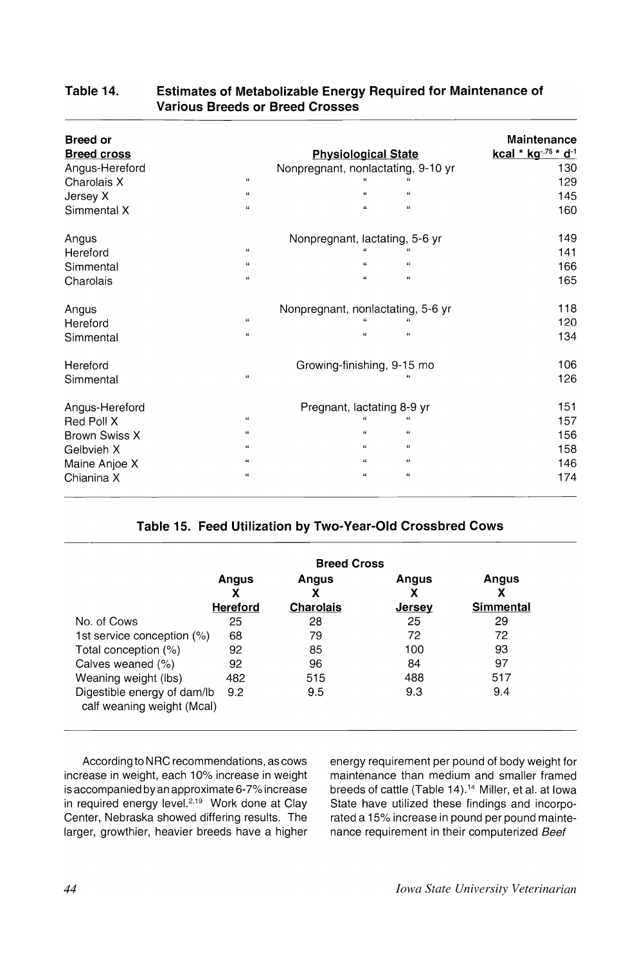| <b>Breed or</b><br><b>Breed cross</b> |                    | <b>Physiological State</b>         | <b>Maintenance</b><br>kcal * kg .75 * d <sup>1</sup> |
|---------------------------------------|--------------------|------------------------------------|------------------------------------------------------|
| Angus-Hereford                        |                    | Nonpregnant, nonlactating, 9-10 yr | 130                                                  |
| Charolais X                           | 66                 |                                    | 129                                                  |
| Jersey X                              | $\alpha$           | $\alpha$<br>$\alpha$               | 145                                                  |
| Simmental X                           | $\alpha$           | ĠŚ.<br>$\epsilon$                  | 160                                                  |
| Angus                                 |                    | Nonpregnant, lactating, 5-6 yr     | 149                                                  |
| Hereford                              | $\alpha$           |                                    | 141                                                  |
| Simmental                             | $\mathbf{f}$       | $^{12}$<br>$\epsilon$              | 166                                                  |
| Charolais                             | $\alpha$           | $\alpha$<br>$\alpha$               | 165                                                  |
| Angus                                 |                    | Nonpregnant, nonlactating, 5-6 yr  | 118                                                  |
| Hereford                              | $\epsilon$         |                                    | 120                                                  |
| Simmental                             | $\alpha$           | $\alpha$<br>$\alpha$               | 134                                                  |
| Hereford                              |                    | Growing-finishing, 9-15 mo         | 106                                                  |
| Simmental                             | $\alpha$           |                                    | 126                                                  |
| Angus-Hereford                        |                    | Pregnant, lactating 8-9 yr         | 151                                                  |
| Red Poll X                            | 66                 | $\alpha$                           | 157                                                  |
| <b>Brown Swiss X</b>                  | $\epsilon$         | $\epsilon\epsilon$<br>$\epsilon$   | 156                                                  |
| Gelbvieh X                            | $\epsilon$         | $\mathbf{G}$<br>$\alpha$           | 158                                                  |
| Maine Anjoe X                         | $\epsilon\epsilon$ | $\epsilon$<br>$\alpha$             | 146                                                  |
| Chianina X                            | 66                 | $\alpha$<br>$\alpha$               | 174                                                  |

# **Table 14. Estimates of Metabolizable Energy Required for Maintenance of Various Breeds or Breed Crosses**

# **Table 15. Feed Utilization by Two-Year-Old Crossbred Cows**

|                                                           | <b>Breed Cross</b> |                  |        |                  |
|-----------------------------------------------------------|--------------------|------------------|--------|------------------|
|                                                           | Angus<br>х         | Angus<br>χ       | Angus  | Angus<br>х       |
|                                                           | <b>Hereford</b>    | <b>Charolais</b> | Jersey | <b>Simmental</b> |
| No. of Cows                                               | 25                 | 28               | 25     | 29               |
| 1st service conception $(\%)$                             | 68                 | 79               | 72     | 72               |
| Total conception (%)                                      | 92                 | 85               | 100    | 93               |
| Calves weaned (%)                                         | 92                 | 96               | 84     | 97               |
| Weaning weight (lbs)                                      | 482                | 515              | 488    | 517              |
| Digestible energy of dam/lb<br>calf weaning weight (Mcal) | 9.2                | 9.5              | 9.3    | 9.4              |

According to NRC recommendations, as cows increase in weight, each 10% increase in weight is accompanied by an approximate 6-7% increase in required energy level.<sup>2,19</sup> Work done at Clay Center, Nebraska showed differing results. The larger, growthier, heavier breeds have a higher energy requirement per pound of body weight for maintenance than medium and smaller framed breeds of cattle (Table 14).<sup>14</sup> Miller, et al. at Iowa State have utilized these findings and incorporated a 15% increase in pound per pound maintenance requirement in their computerized Beef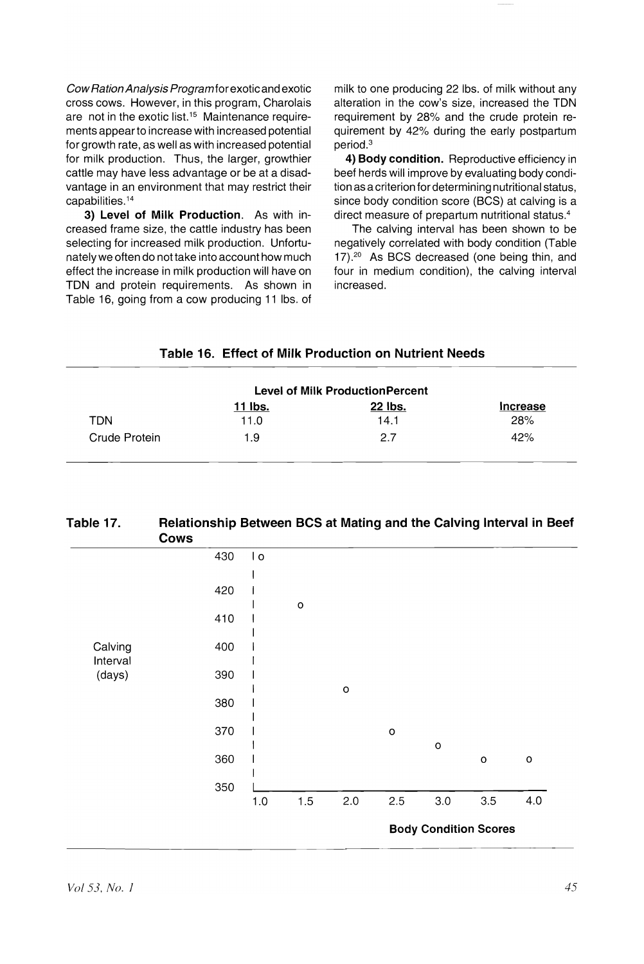CowRationAnalysis Programfor exotic and exotic cross cows. However, in this program, Charolais are not in the exotic list.<sup>15</sup> Maintenance requirements appearto increase with increased potential for growth rate, as well as with increased potential for milk production. Thus, the larger, growthier cattle may have less advantage or be at a disadvantage in an environment that may restrict their capabilities. <sup>14</sup>

3) Level of Milk Production. As with increased frame size, the cattle industry has been selecting for increased milk production. Unfortunately we often do not take into account how much effect the increase in milk production will have on TON and protein requirements. As shown in Table 16, going from a cow producing 11 Ibs. of milk to one producing 22 Ibs. of milk without any alteration in the cow's size, increased the TON requirement by 28% and the crude protein requirement by 42% during the early postpartum period.<sup>3</sup>

4) Body condition. Reproductive efficiency in beef herds will improve by evaluating body condition as a criterion for determining nutritional status, since body condition score (BCS) at calving is a direct measure of prepartum nutritional status.4

The calving interval has been shown to be negatively correlated with body condition (Table 17).<sup>20</sup> As BCS decreased (one being thin, and four in medium condition), the calving interval increased.

#### Table 16. Effect of Milk Production on Nutrient Needs

|               |         | <b>Level of Milk ProductionPercent</b> |          |
|---------------|---------|----------------------------------------|----------|
|               | 11 lbs. | 22 lbs.                                | Increase |
| TDN           | 11.0    | 14.1                                   | 28%      |
| Crude Protein | 1.9     | 27                                     | 42%      |

| Table 17. | Relationship Between BCS at Mating and the Calving Interval in Beef |
|-----------|---------------------------------------------------------------------|
|           | Cows                                                                |

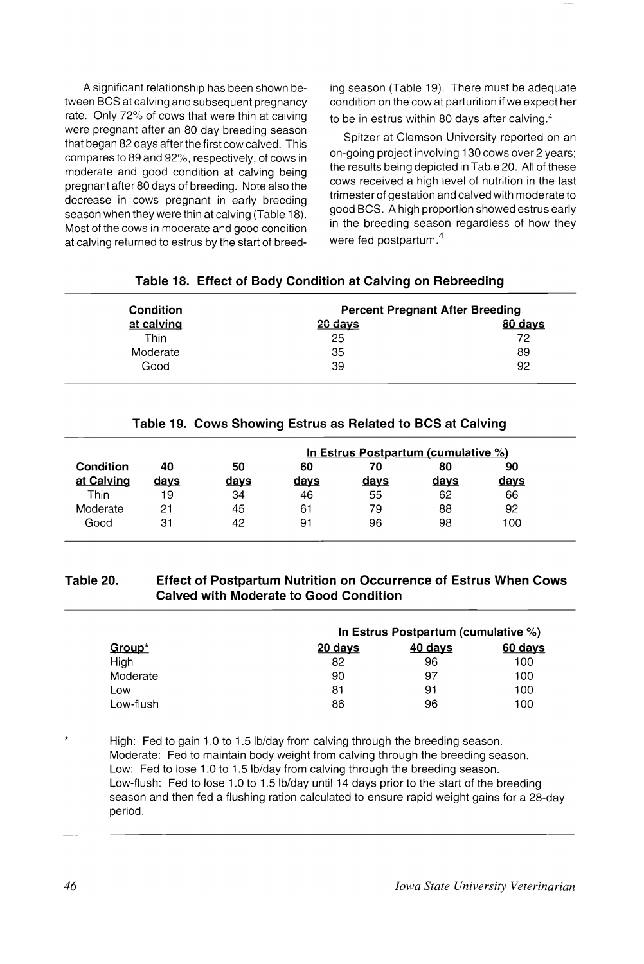A significant relationship has been shown between BCS at calving and subsequent pregnancy rate. Only 72% of cows that were thin at calving were pregnant after an 80 day breeding season that began 82 days after the first cow calved. This compares to 89 and 92%, respectively, of cows in moderate and good condition at calving being pregnant after 80 days of breeding. Note also the decrease in cows pregnant in early breeding season when they were thin at calving (Table 18). Most of the cows in moderate and good condition at calving returned to estrus by the start of breeding season (Table 19). There must be adequate condition on the cow at parturition if we expect her to be in estrus within 80 days after calving. <sup>4</sup>

Spitzer at Clemson University reported on an on-going project involving 130 cows over 2 years; the results being depicted in Table 20. All of these cows received a high level of nutrition in the last trimester of gestation and calved with moderate to good BCS. Ahigh proportion showed estrus early in the breeding season regardless of how they were fed postpartum.<sup>4</sup>

| Condition  | <b>Percent Pregnant After Breeding</b> |         |  |
|------------|----------------------------------------|---------|--|
| at calving | $20$ days                              | 80 days |  |
| Thin       | 25                                     | 72      |  |
| Moderate   | 35                                     | 89      |  |
| Good       | 39                                     | 92      |  |

### **Table 18. Effect of Body Condition at Calving on Rebreeding**

#### **Table 19. Cows Showing Estrus as Related to BCS at Calving**

|                         |            |            |            | In Estrus Postpartum (cumulative %) |            |            |
|-------------------------|------------|------------|------------|-------------------------------------|------------|------------|
| Condition<br>at Calving | 40<br>days | 50<br>days | 60<br>days | 70<br>days                          | 80<br>days | 90<br>days |
| Thin                    | 19         | 34         | 46         | 55                                  | 62         | 66         |
| Moderate                | 21         | 45         | 61         | 79                                  | 88         | 92         |
| Good                    | 31         | 42         | 91         | 96                                  | 98         | 100        |

# **Table 20. Effect of Postpartum Nutrition on Occurrence of Estrus When Cows Calved with Moderate to Good Condition**

|           |         | In Estrus Postpartum (cumulative %) |         |  |  |  |
|-----------|---------|-------------------------------------|---------|--|--|--|
| Group*    | 20 days | 40 days                             | 60 days |  |  |  |
| High      | 82      | 96                                  | 100     |  |  |  |
| Moderate  | 90      | 97                                  | 100     |  |  |  |
| Low       | 81      | 91                                  | 100     |  |  |  |
| Low-flush | 86      | 96                                  | 100     |  |  |  |

High: Fed to gain 1.0 to 1.5 lb/day from calving through the breeding season. Moderate: Fed to maintain body weight from calving through the breeding season. Low: Fed to lose 1.0 to 1.5 lb/day from calving through the breeding season. Low-flush: Fed to lose 1.0 to 1.5 Ib/day until 14 days prior to the start of the breeding season and then fed a flushing ration calculated to ensure rapid weight gains for a 28-day period.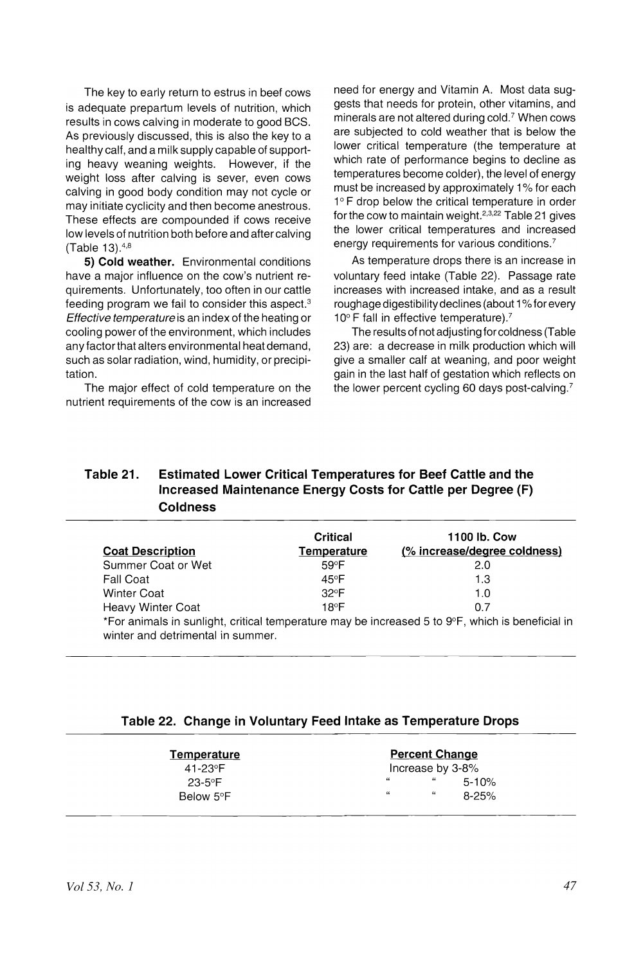The key to early return to estrus in beef cows is adequate prepartum levels of nutrition, which results in cows calving in moderate to good BCS. As previously discussed, this is also the key to a healthy calf, and a milk supply capable of supporting heavy weaning weights. However, if the weight loss after calving is sever, even cows calving in good body condition may not cycle or may initiate cyclicity and then become anestrous. These effects are compounded if cows receive low levels of nutrition both before and after calving (Table 13).4,8

**5) Cold weather.** Environmental conditions have a major influence on the cow's nutrient requirements. Unfortunately, too often in our cattle feeding program we fail to consider this aspect.3 Effective temperature is an index of the heating or cooling power of the environment, which includes any factor that alters environmental heat demand, such as solar radiation, wind, humidity, or precipitation.

The major effect of cold temperature on the nutrient requirements of the cow is an increased need for energy and Vitamin A. Most data suggests that needs for protein, other vitamins, and minerals are not altered during cold.? When cows are subjected to cold weather that is below the lower critical temperature (the temperature at which rate of performance begins to decline as temperatures become colder), the level of energy must be increased by approximately 1% for each 1° F drop below the critical temperature in order for the cow to maintain weight.  $2,3,22$  Table 21 gives the lower critical temperatures and increased energy requirements for various conditions.?

As temperature drops there is an increase in voluntary feed intake (Table 22). Passage rate increases with increased intake, and as a result roughage digestibility declines (about 1% for every 10° F fall in effective temperature).<sup>7</sup>

The results of not adjusting for coldness (Table 23) are: a decrease in milk production which will give a smalier caif at weaning, and poor weight gain in the last half of gestation which reflects on the lower percent cycling 60 days post-calving.?

# **Table 21. Estimated Lower Critical Temperatures for Beef Cattle and the Increased Maintenance Energy Costs for Cattle per Degree (F) Coldness**

| <b>Coat Description</b>                                                                                                               | Critical<br>Temperature | 1100 lb. Cow<br>(% increase/degree coldness) |
|---------------------------------------------------------------------------------------------------------------------------------------|-------------------------|----------------------------------------------|
| Summer Coat or Wet                                                                                                                    | $59^{\circ}$ F          | 2.0                                          |
| Fall Coat                                                                                                                             | 45°F                    | 1.3                                          |
| <b>Winter Coat</b>                                                                                                                    | $32^{\circ}F$           | 1.0                                          |
| <b>Heavy Winter Coat</b>                                                                                                              | 18ºF                    | 0.7                                          |
| *For animals in sunlight, critical temperature may be increased 5 to 9°F, which is beneficial in<br>winter and detrimental in summer. |                         |                                              |

# **Table 22. Change in Voluntary Feed Intake as Temperature Drops**

| <b>Temperature</b> | <b>Percent Change</b>            |  |  |
|--------------------|----------------------------------|--|--|
| 41-23°F            | Increase by 3-8%                 |  |  |
| $23 - 5^{\circ}F$  | $^{66}$<br>$5 - 10%$             |  |  |
| Below 5°F          | $^{16}$<br>$\alpha$<br>$8 - 25%$ |  |  |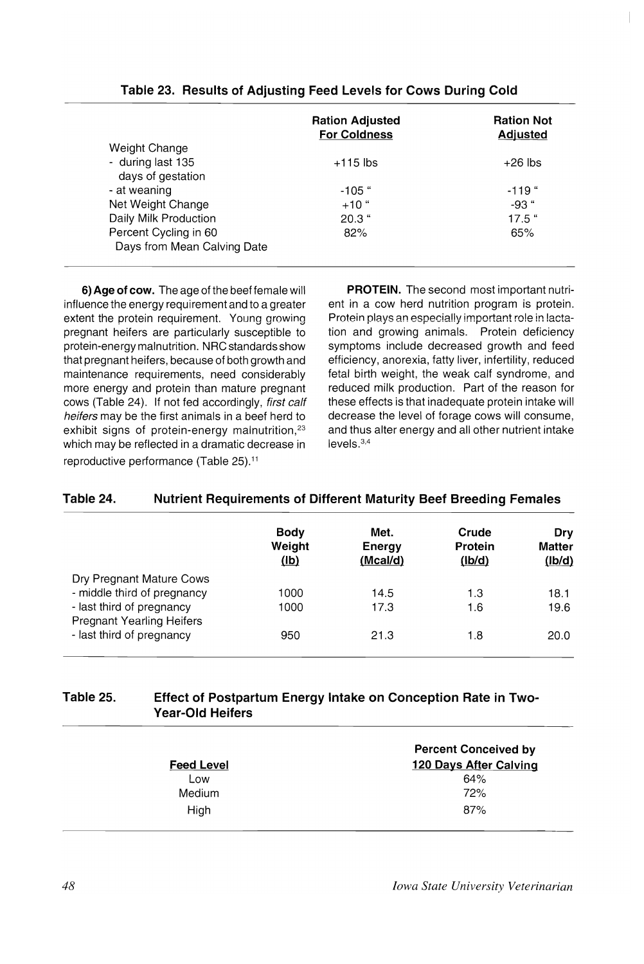|                             | <b>Ration Adjusted</b><br><b>For Coldness</b> | <b>Ration Not</b><br><b>Adjusted</b> |
|-----------------------------|-----------------------------------------------|--------------------------------------|
| Weight Change               |                                               |                                      |
| - during last 135           | $+115$ lbs                                    | $+26$ lbs                            |
| days of gestation           |                                               |                                      |
| - at weaning                | $-105$ "                                      | $-119$ "                             |
| Net Weight Change           | $+10$ "                                       | $-93$ "                              |
| Daily Milk Production       | $20.3$ "                                      | $17.5$ "                             |
| Percent Cycling in 60       | 82%                                           | 65%                                  |
| Days from Mean Calving Date |                                               |                                      |

## **Table 23. Results of Adjusting Feed Levels for Cows During Cold**

**6) Age of cow.** The age of the beef female will influence the energy requirement and to a greater extent the protein requirement. Young growing pregnant heifers are particularly susceptible to protein-energy malnutrition. NRC standards show that pregnant heifers, because of both growth and maintenance requirements, need considerably more energy and protein than mature pregnant cows (Table 24). If not fed accordingly, first calf heifers may be the first animals in a beef herd to exhibit signs of protein-energy malnutrition,<sup>23</sup> which may be reflected in a dramatic decrease in reproductive performance (Table 25).<sup>11</sup>

**PROTEIN.** The second most important nutrient in a cow herd nutrition program is protein. Protein plays an especially important role in lactation and growing animals. Protein deficiency symptoms include decreased growth and feed efficiency, anorexia, fatty liver, infertility, reduced fetal birth weight, the weak calf syndrome, and reduced milk production. Part of the reason for these effects is that inadequate protein intake will decrease the level of forage cows will consume, and thus alter energy and all other nutrient intake levels.3,4

### **Table 24. Nutrient Requirements of Different Maturity Beef Breeding Females**

|                                                                                                                          | <b>Body</b><br>Weight<br>(1b) | Met.<br>Energy<br>(Mcal/d) | Crude<br>Protein<br>(lb/d) | Drv<br><b>Matter</b><br>(lb/d) |
|--------------------------------------------------------------------------------------------------------------------------|-------------------------------|----------------------------|----------------------------|--------------------------------|
| Dry Pregnant Mature Cows<br>- middle third of pregnancy<br>- last third of pregnancy<br><b>Pregnant Yearling Heifers</b> | 1000<br>1000                  | 14.5<br>17.3               | 1.3<br>1.6                 | 18.1<br>19.6                   |
| - last third of pregnancy                                                                                                | 950                           | 21.3                       | 1.8                        | 20.0                           |

# **Table 25. Effect of Postpartum Energy Intake on Conception Rate in Two-Year-Old Heifers**

| <b>Feed Level</b> | <b>Percent Conceived by</b><br>120 Days After Calving |
|-------------------|-------------------------------------------------------|
| Low               | 64%                                                   |
| Medium            | 72%                                                   |
| High              | 87%                                                   |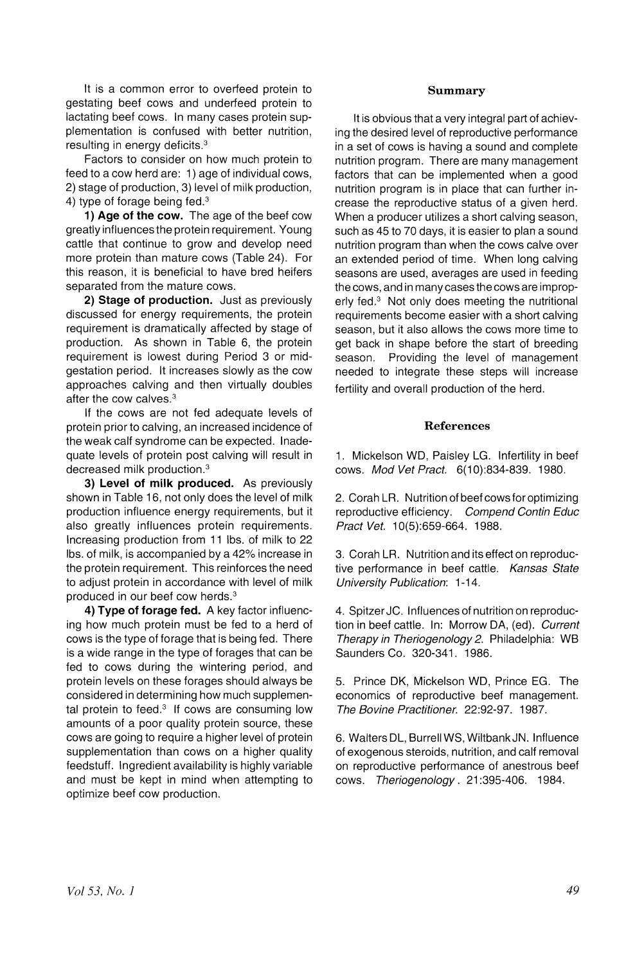It is a common error to overfeed protein to gestating beef cows and underfeed protein to lactating beef cows. In many cases protein supplementation is confused with better nutrition, resulting in energy deficits.<sup>3</sup>

Factors to consider on how much protein to feed to a cow herd are: 1) age of individual cows, 2) stage of production, 3) level of milk production, 4) type of forage being fed.<sup>3</sup>

1) Age of the cow. The age of the beef cow greatly influences the protein requirement. Young cattle that continue to grow and develop need more protein than mature cows (Table 24). For this reason, it is beneficial to have bred heifers separated from the mature cows.

2) Stage of production. Just as previously discussed for energy requirements, the protein requirement is dramatically affected by stage of production. As shown in Table 6, the protein requirement is lowest during Period 3 or midgestation period. It increases slowly as the cow approaches calving and then virtually doubles after the cow calves.<sup>3</sup>

If the cows are not fed adequate levels of protein prior to calving, an increased incidence of the weak calf syndrome can be expected. Inadequate levels of protein post calving will result in decreased milk production.<sup>3</sup>

3) Level of milk produced. As previously shown in Table 16, not only does the level of milk production influence energy requirements, but it also greatly influences protein requirements. Increasing production from 11 Ibs. of mill< to 22 Ibs. of milk, is accompanied by a 42% increase in the protein requirement. This reinforces the need to adjust protein in accordance with level of milk produced in our beef cow herds.<sup>3</sup>

4) Type of forage fed. A key factor influencing how much protein must be fed to a herd of cows is the type of forage that is being fed. There is a wide range in the type of forages that can be fed to cows during the wintering period, and protein levels on these forages should always be considered in determining how much supplemental protein to feed. $3$  If cows are consuming low amounts of a poor quality protein source, these cows are going to require a higher level of protein supplementation than cows on a higher quality feedstuff. Ingredient availability is highly variable and must be kept in mind when attempting to optimize beef cow production.

#### Summary

It is obvious that a very integral part of achieving the desired level of reproductive performance in a set of cows is having a sound and complete nutrition program. There are many management factors that can be implemented when a good nutrition program is in place that can further increase the reproductive status of a given herd. When a producer utilizes a short calving season, such as 45 to 70 days, it is easier to plan a sound nutrition program than when the cows calve over an extended period of time. When long calving seasons are used, averages are used in feeding the cows, and in many cases the cows are improperly fed. $3$  Not only does meeting the nutritional requirements become easier with a short calving season, but it also allows the cows more time to get back in shape before the start of breeding season. Providing the level of management needed to integrate these steps will increase fertility and overall production of the herd.

#### References

1. Mickelson WO, Paisley LG. Infertility in beef cows. Mod Vet Pract. 6(10):834-839. 1980.

2. Corah LR. Nutrition of beef cows for optimizing reproductive efficiency. Compend Contin Educ Pract Vet. 10(5):659-664. 1988.

3. Corah LR. Nutrition and its effect on reproductive performance in beef cattle. Kansas State University Publication: 1-14.

4. Spitzer JC. Influences of nutrition on reproduction in beef cattle. In: Morrow OA, (ed). Current Therapy in Theriogenology 2. Philadelphia: WB Saunders Co. 320-341. 1986.

5. Prince OK, Mickelson WO, Prince EG. The economics of reproductive beef management. The Bovine Practitioner. 22:92-97. 1987.

6. Walters OL, BurrellWS, WiltbankJN. Influence of exogenous steroids, nutrition, and calf removal on reproductive performance of anestrous beef cows. Theriogenology. 21 :395-406. 1984.